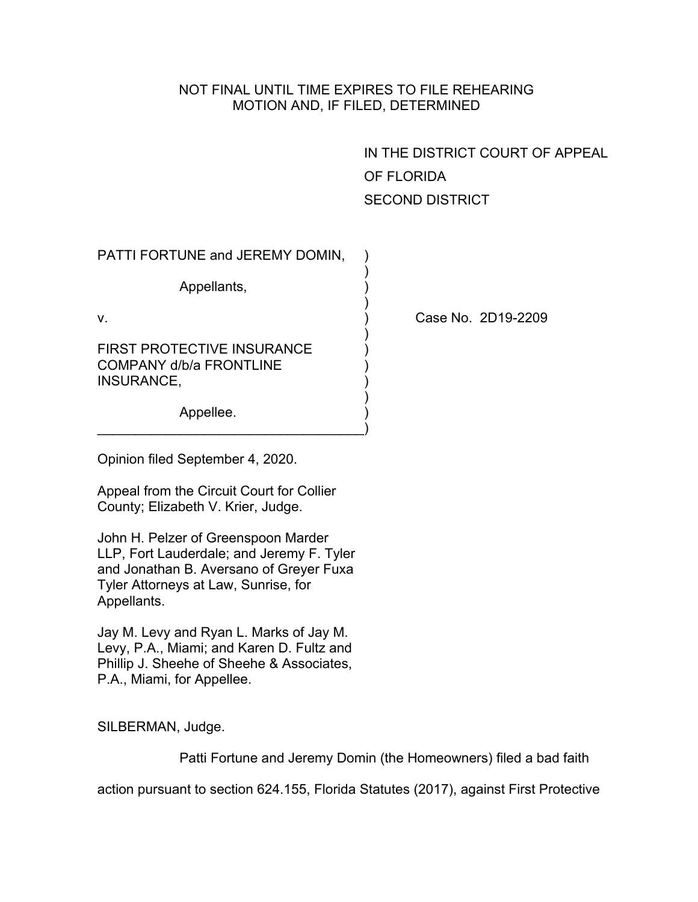## NOT FINAL UNTIL TIME EXPIRES TO FILE REHEARING MOTION AND, IF FILED, DETERMINED

)

)

)

)

IN THE DISTRICT COURT OF APPEAL OF FLORIDA SECOND DISTRICT

PATTI FORTUNE and JEREMY DOMIN, )

Appellants,

FIRST PROTECTIVE INSURANCE COMPANY d/b/a FRONTLINE ) INSURANCE,

Appellee.

v. ) Case No. 2D19-2209

Opinion filed September 4, 2020.

Appeal from the Circuit Court for Collier County; Elizabeth V. Krier, Judge.

 $\qquad \qquad \Box$ 

John H. Pelzer of Greenspoon Marder LLP, Fort Lauderdale; and Jeremy F. Tyler and Jonathan B. Aversano of Greyer Fuxa Tyler Attorneys at Law, Sunrise, for Appellants.

Jay M. Levy and Ryan L. Marks of Jay M. Levy, P.A., Miami; and Karen D. Fultz and Phillip J. Sheehe of Sheehe & Associates, P.A., Miami, for Appellee.

SILBERMAN, Judge.

Patti Fortune and Jeremy Domin (the Homeowners) filed a bad faith

action pursuant to section 624.155, Florida Statutes (2017), against First Protective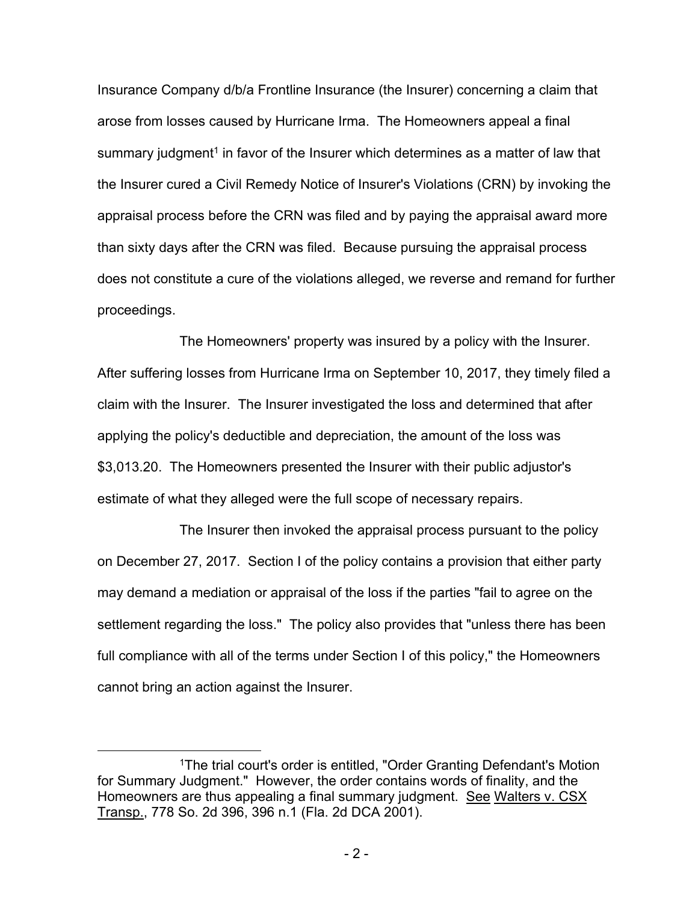Insurance Company d/b/a Frontline Insurance (the Insurer) concerning a claim that arose from losses caused by Hurricane Irma. The Homeowners appeal a final summary judgment<sup>1</sup> in favor of the Insurer which determines as a matter of law that the Insurer cured a Civil Remedy Notice of Insurer's Violations (CRN) by invoking the appraisal process before the CRN was filed and by paying the appraisal award more than sixty days after the CRN was filed. Because pursuing the appraisal process does not constitute a cure of the violations alleged, we reverse and remand for further proceedings.

The Homeowners' property was insured by a policy with the Insurer. After suffering losses from Hurricane Irma on September 10, 2017, they timely filed a claim with the Insurer. The Insurer investigated the loss and determined that after applying the policy's deductible and depreciation, the amount of the loss was \$3,013.20. The Homeowners presented the Insurer with their public adjustor's estimate of what they alleged were the full scope of necessary repairs.

The Insurer then invoked the appraisal process pursuant to the policy on December 27, 2017. Section I of the policy contains a provision that either party may demand a mediation or appraisal of the loss if the parties "fail to agree on the settlement regarding the loss." The policy also provides that "unless there has been full compliance with all of the terms under Section I of this policy," the Homeowners cannot bring an action against the Insurer.

<sup>1</sup>The trial court's order is entitled, "Order Granting Defendant's Motion for Summary Judgment." However, the order contains words of finality, and the Homeowners are thus appealing a final summary judgment. See Walters v. CSX Transp., 778 So. 2d 396, 396 n.1 (Fla. 2d DCA 2001).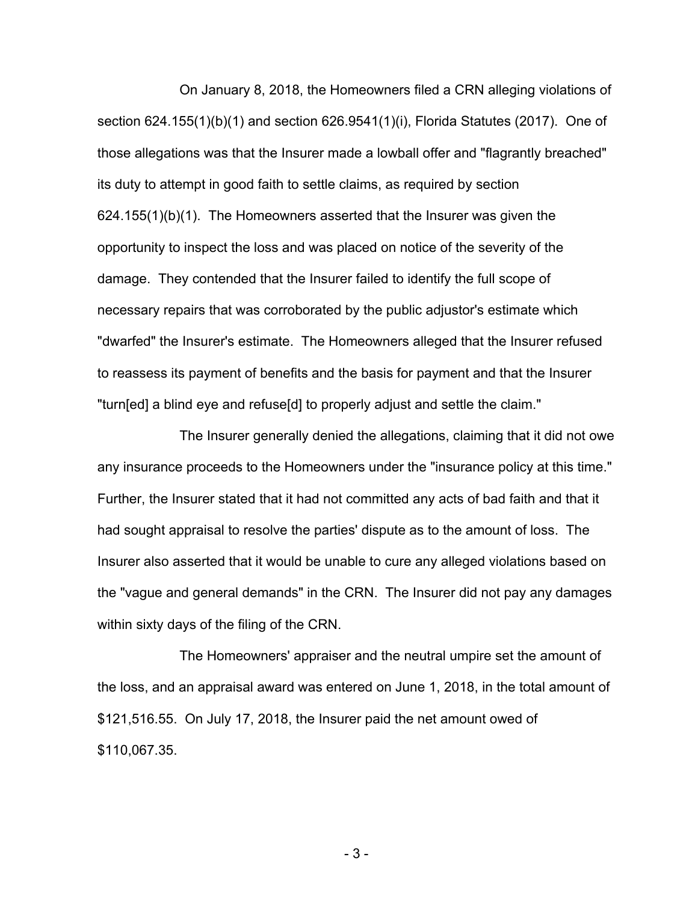On January 8, 2018, the Homeowners filed a CRN alleging violations of section 624.155(1)(b)(1) and section 626.9541(1)(i), Florida Statutes (2017). One of those allegations was that the Insurer made a lowball offer and "flagrantly breached" its duty to attempt in good faith to settle claims, as required by section 624.155(1)(b)(1). The Homeowners asserted that the Insurer was given the opportunity to inspect the loss and was placed on notice of the severity of the damage. They contended that the Insurer failed to identify the full scope of necessary repairs that was corroborated by the public adjustor's estimate which "dwarfed" the Insurer's estimate. The Homeowners alleged that the Insurer refused to reassess its payment of benefits and the basis for payment and that the Insurer "turn[ed] a blind eye and refuse[d] to properly adjust and settle the claim."

The Insurer generally denied the allegations, claiming that it did not owe any insurance proceeds to the Homeowners under the "insurance policy at this time." Further, the Insurer stated that it had not committed any acts of bad faith and that it had sought appraisal to resolve the parties' dispute as to the amount of loss. The Insurer also asserted that it would be unable to cure any alleged violations based on the "vague and general demands" in the CRN. The Insurer did not pay any damages within sixty days of the filing of the CRN.

The Homeowners' appraiser and the neutral umpire set the amount of the loss, and an appraisal award was entered on June 1, 2018, in the total amount of \$121,516.55. On July 17, 2018, the Insurer paid the net amount owed of \$110,067.35.

- 3 -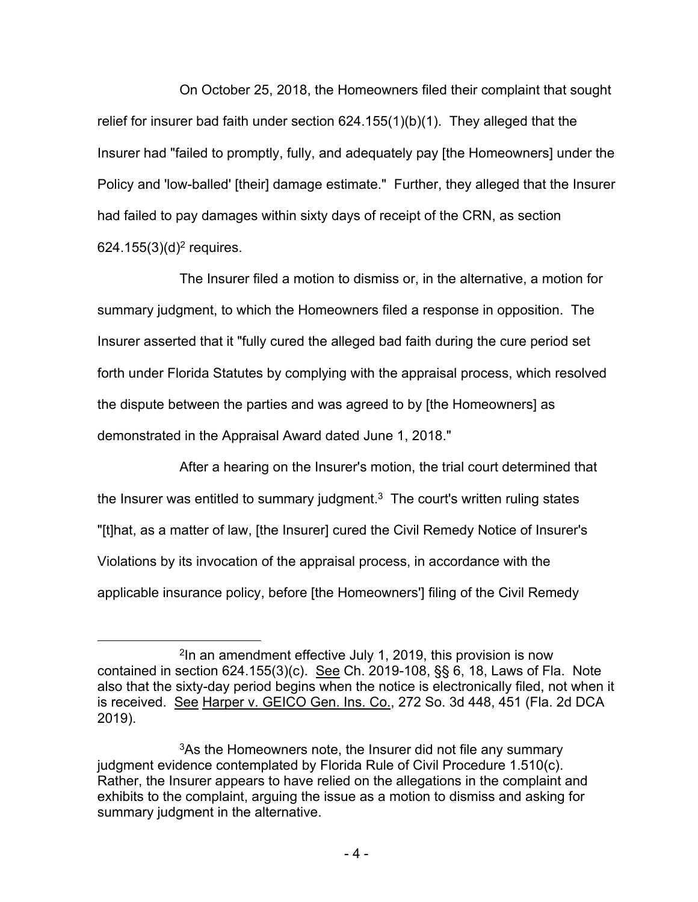On October 25, 2018, the Homeowners filed their complaint that sought relief for insurer bad faith under section  $624.155(1)(b)(1)$ . They alleged that the Insurer had "failed to promptly, fully, and adequately pay [the Homeowners] under the Policy and 'low-balled' [their] damage estimate." Further, they alleged that the Insurer had failed to pay damages within sixty days of receipt of the CRN, as section 624.155 $(3)(d)^2$  requires.

The Insurer filed a motion to dismiss or, in the alternative, a motion for summary judgment, to which the Homeowners filed a response in opposition. The Insurer asserted that it "fully cured the alleged bad faith during the cure period set forth under Florida Statutes by complying with the appraisal process, which resolved the dispute between the parties and was agreed to by [the Homeowners] as demonstrated in the Appraisal Award dated June 1, 2018."

After a hearing on the Insurer's motion, the trial court determined that the Insurer was entitled to summary judgment. $3$  The court's written ruling states "[t]hat, as a matter of law, [the Insurer] cured the Civil Remedy Notice of Insurer's Violations by its invocation of the appraisal process, in accordance with the applicable insurance policy, before [the Homeowners'] filing of the Civil Remedy

<sup>2</sup> In an amendment effective July 1, 2019, this provision is now contained in section 624.155(3)(c). See Ch. 2019-108, §§ 6, 18, Laws of Fla. Note also that the sixty-day period begins when the notice is electronically filed, not when it is received. See Harper v. GEICO Gen. Ins. Co., 272 So. 3d 448, 451 (Fla. 2d DCA 2019).

<sup>&</sup>lt;sup>3</sup>As the Homeowners note, the Insurer did not file any summary judgment evidence contemplated by Florida Rule of Civil Procedure 1.510(c). Rather, the Insurer appears to have relied on the allegations in the complaint and exhibits to the complaint, arguing the issue as a motion to dismiss and asking for summary judgment in the alternative.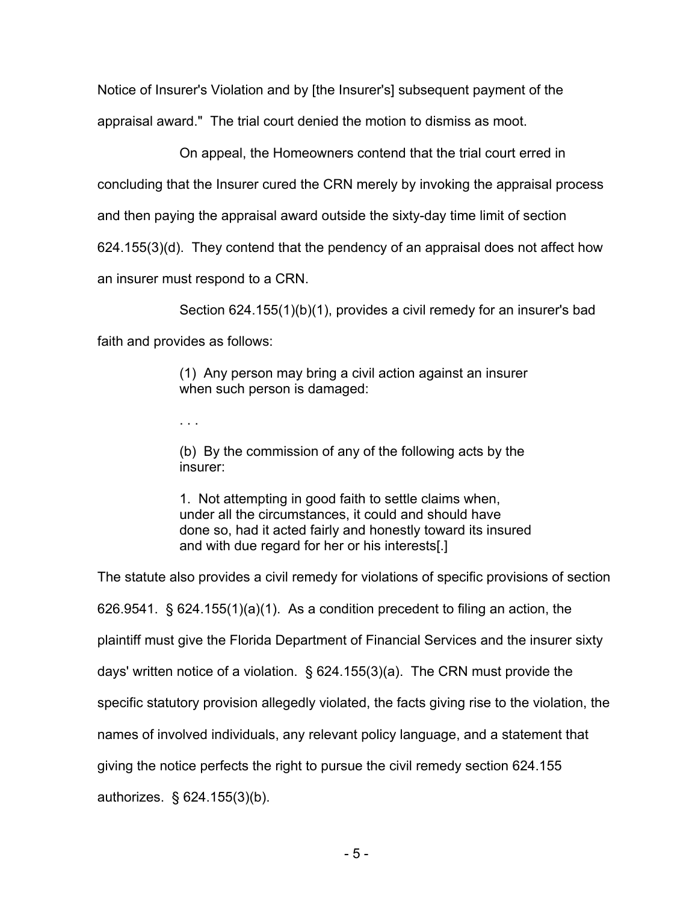Notice of Insurer's Violation and by [the Insurer's] subsequent payment of the appraisal award." The trial court denied the motion to dismiss as moot.

On appeal, the Homeowners contend that the trial court erred in concluding that the Insurer cured the CRN merely by invoking the appraisal process and then paying the appraisal award outside the sixty-day time limit of section 624.155(3)(d). They contend that the pendency of an appraisal does not affect how an insurer must respond to a CRN.

Section 624.155(1)(b)(1), provides a civil remedy for an insurer's bad faith and provides as follows:

> (1) Any person may bring a civil action against an insurer when such person is damaged:

. . .

(b) By the commission of any of the following acts by the insurer:

1. Not attempting in good faith to settle claims when, under all the circumstances, it could and should have done so, had it acted fairly and honestly toward its insured and with due regard for her or his interests[.]

The statute also provides a civil remedy for violations of specific provisions of section  $626.9541.$  §  $624.155(1)(a)(1)$ . As a condition precedent to filing an action, the plaintiff must give the Florida Department of Financial Services and the insurer sixty days' written notice of a violation. § 624.155(3)(a). The CRN must provide the specific statutory provision allegedly violated, the facts giving rise to the violation, the names of involved individuals, any relevant policy language, and a statement that giving the notice perfects the right to pursue the civil remedy section 624.155 authorizes. § 624.155(3)(b).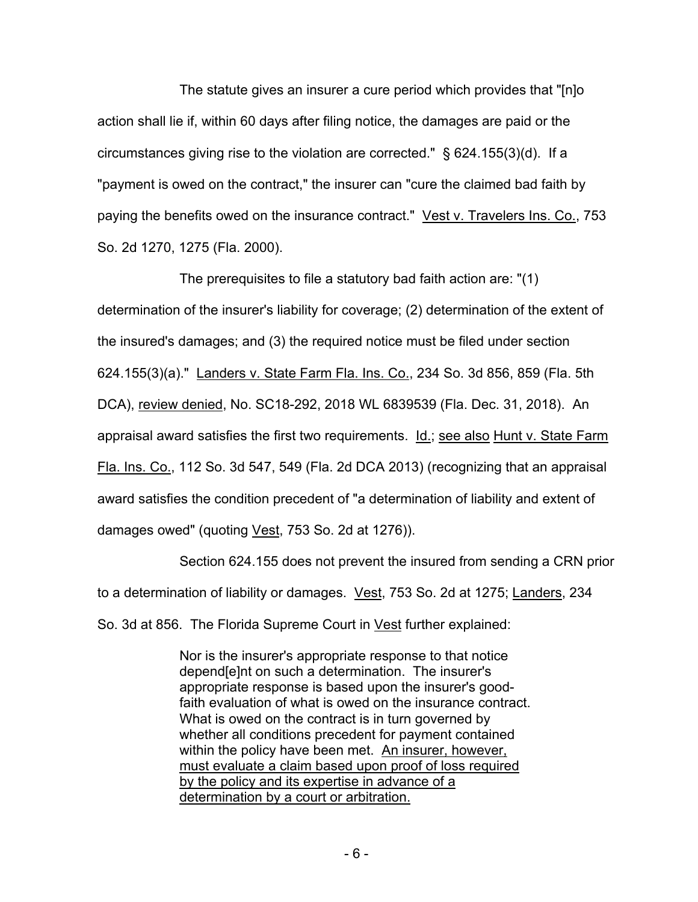The statute gives an insurer a cure period which provides that "[n]o action shall lie if, within 60 days after filing notice, the damages are paid or the circumstances giving rise to the violation are corrected." § 624.155(3)(d). If a "payment is owed on the contract," the insurer can "cure the claimed bad faith by paying the benefits owed on the insurance contract." Vest v. Travelers Ins. Co., 753 So. 2d 1270, 1275 (Fla. 2000).

The prerequisites to file a statutory bad faith action are: "(1) determination of the insurer's liability for coverage; (2) determination of the extent of the insured's damages; and (3) the required notice must be filed under section 624.155(3)(a)." Landers v. State Farm Fla. Ins. Co., 234 So. 3d 856, 859 (Fla. 5th DCA), review denied, No. SC18-292, 2018 WL 6839539 (Fla. Dec. 31, 2018). An appraisal award satisfies the first two requirements. Id.; see also Hunt v. State Farm Fla. Ins. Co., 112 So. 3d 547, 549 (Fla. 2d DCA 2013) (recognizing that an appraisal award satisfies the condition precedent of "a determination of liability and extent of damages owed" (quoting Vest, 753 So. 2d at 1276)).

Section 624.155 does not prevent the insured from sending a CRN prior to a determination of liability or damages. Vest, 753 So. 2d at 1275; Landers, 234 So. 3d at 856. The Florida Supreme Court in Vest further explained:

> Nor is the insurer's appropriate response to that notice depend[e]nt on such a determination. The insurer's appropriate response is based upon the insurer's goodfaith evaluation of what is owed on the insurance contract. What is owed on the contract is in turn governed by whether all conditions precedent for payment contained within the policy have been met. An insurer, however, must evaluate a claim based upon proof of loss required by the policy and its expertise in advance of a determination by a court or arbitration.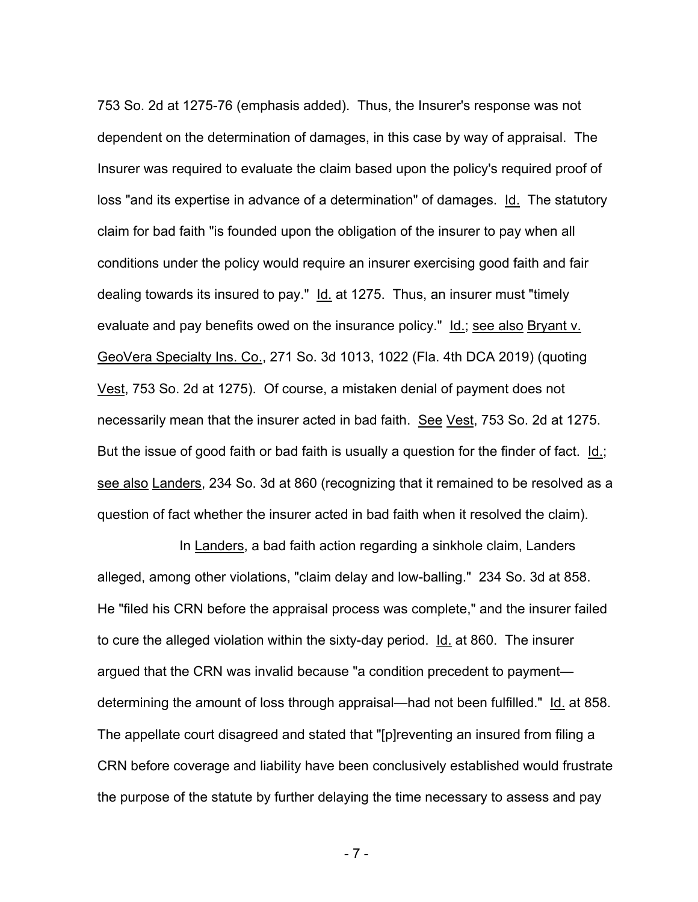753 So. 2d at 1275-76 (emphasis added). Thus, the Insurer's response was not dependent on the determination of damages, in this case by way of appraisal. The Insurer was required to evaluate the claim based upon the policy's required proof of loss "and its expertise in advance of a determination" of damages. Id. The statutory claim for bad faith "is founded upon the obligation of the insurer to pay when all conditions under the policy would require an insurer exercising good faith and fair dealing towards its insured to pay." Id. at 1275. Thus, an insurer must "timely evaluate and pay benefits owed on the insurance policy." Id.; see also Bryant v. GeoVera Specialty Ins. Co., 271 So. 3d 1013, 1022 (Fla. 4th DCA 2019) (quoting Vest, 753 So. 2d at 1275). Of course, a mistaken denial of payment does not necessarily mean that the insurer acted in bad faith. See Vest, 753 So. 2d at 1275. But the issue of good faith or bad faith is usually a question for the finder of fact. Id.; see also Landers, 234 So. 3d at 860 (recognizing that it remained to be resolved as a question of fact whether the insurer acted in bad faith when it resolved the claim).

In Landers, a bad faith action regarding a sinkhole claim, Landers alleged, among other violations, "claim delay and low-balling." 234 So. 3d at 858. He "filed his CRN before the appraisal process was complete," and the insurer failed to cure the alleged violation within the sixty-day period. Id. at 860. The insurer argued that the CRN was invalid because "a condition precedent to payment determining the amount of loss through appraisal—had not been fulfilled." Id. at 858. The appellate court disagreed and stated that "[p]reventing an insured from filing a CRN before coverage and liability have been conclusively established would frustrate the purpose of the statute by further delaying the time necessary to assess and pay

- 7 -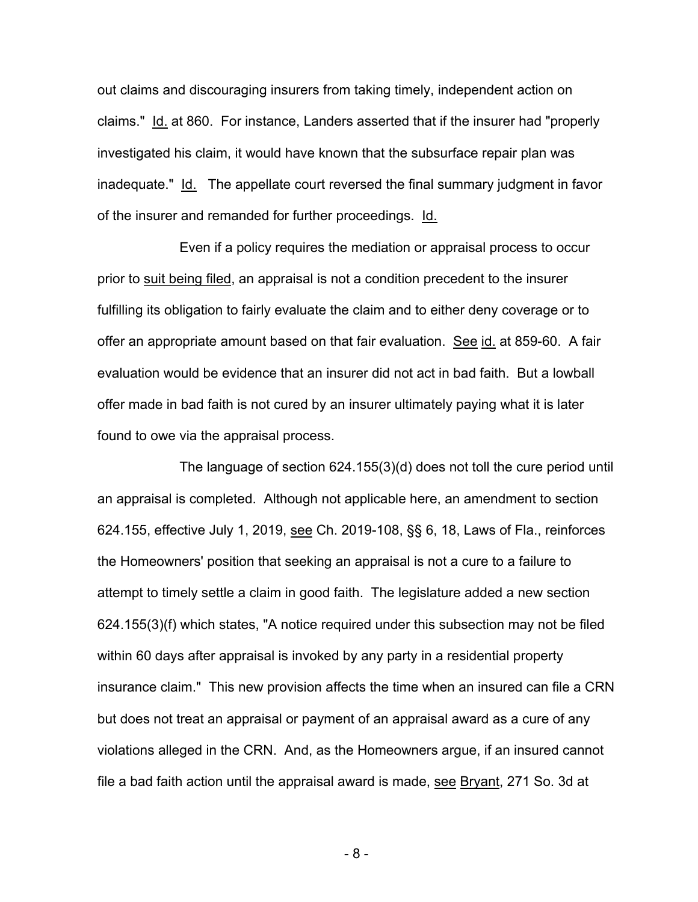out claims and discouraging insurers from taking timely, independent action on claims." Id. at 860. For instance, Landers asserted that if the insurer had "properly investigated his claim, it would have known that the subsurface repair plan was inadequate." Id. The appellate court reversed the final summary judgment in favor of the insurer and remanded for further proceedings. Id.

Even if a policy requires the mediation or appraisal process to occur prior to suit being filed, an appraisal is not a condition precedent to the insurer fulfilling its obligation to fairly evaluate the claim and to either deny coverage or to offer an appropriate amount based on that fair evaluation. See id. at 859-60. A fair evaluation would be evidence that an insurer did not act in bad faith. But a lowball offer made in bad faith is not cured by an insurer ultimately paying what it is later found to owe via the appraisal process.

The language of section 624.155(3)(d) does not toll the cure period until an appraisal is completed. Although not applicable here, an amendment to section 624.155, effective July 1, 2019, see Ch. 2019-108, §§ 6, 18, Laws of Fla., reinforces the Homeowners' position that seeking an appraisal is not a cure to a failure to attempt to timely settle a claim in good faith. The legislature added a new section 624.155(3)(f) which states, "A notice required under this subsection may not be filed within 60 days after appraisal is invoked by any party in a residential property insurance claim." This new provision affects the time when an insured can file a CRN but does not treat an appraisal or payment of an appraisal award as a cure of any violations alleged in the CRN. And, as the Homeowners argue, if an insured cannot file a bad faith action until the appraisal award is made, see Bryant, 271 So. 3d at

- 8 -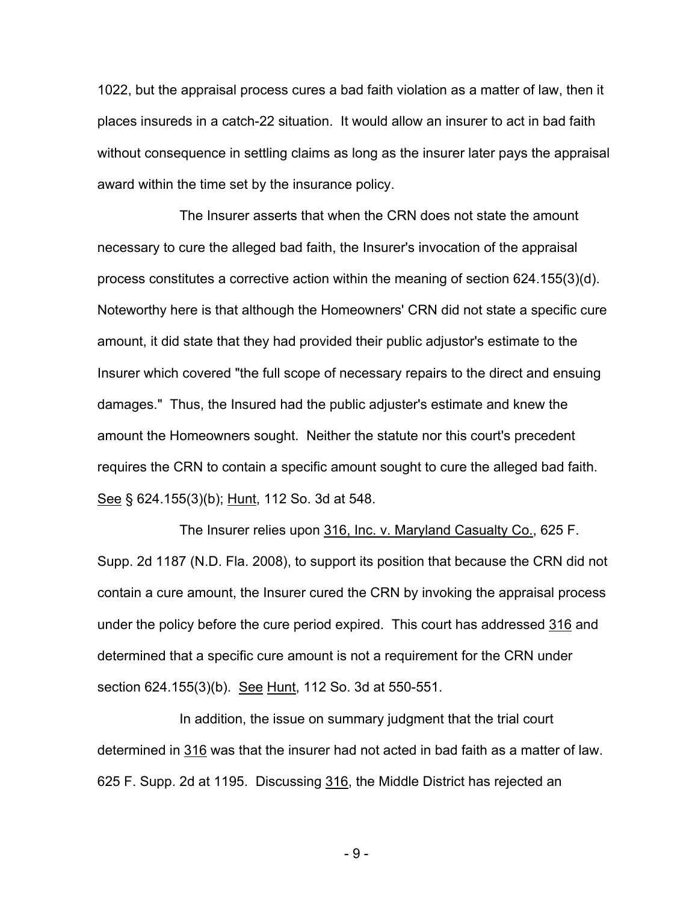1022, but the appraisal process cures a bad faith violation as a matter of law, then it places insureds in a catch-22 situation. It would allow an insurer to act in bad faith without consequence in settling claims as long as the insurer later pays the appraisal award within the time set by the insurance policy.

The Insurer asserts that when the CRN does not state the amount necessary to cure the alleged bad faith, the Insurer's invocation of the appraisal process constitutes a corrective action within the meaning of section 624.155(3)(d). Noteworthy here is that although the Homeowners' CRN did not state a specific cure amount, it did state that they had provided their public adjustor's estimate to the Insurer which covered "the full scope of necessary repairs to the direct and ensuing damages." Thus, the Insured had the public adjuster's estimate and knew the amount the Homeowners sought. Neither the statute nor this court's precedent requires the CRN to contain a specific amount sought to cure the alleged bad faith. See § 624.155(3)(b); Hunt, 112 So. 3d at 548.

The Insurer relies upon 316, Inc. v. Maryland Casualty Co., 625 F. Supp. 2d 1187 (N.D. Fla. 2008), to support its position that because the CRN did not contain a cure amount, the Insurer cured the CRN by invoking the appraisal process under the policy before the cure period expired. This court has addressed 316 and determined that a specific cure amount is not a requirement for the CRN under section 624.155(3)(b). See Hunt, 112 So. 3d at 550-551.

In addition, the issue on summary judgment that the trial court determined in 316 was that the insurer had not acted in bad faith as a matter of law. 625 F. Supp. 2d at 1195. Discussing 316, the Middle District has rejected an

- 9 -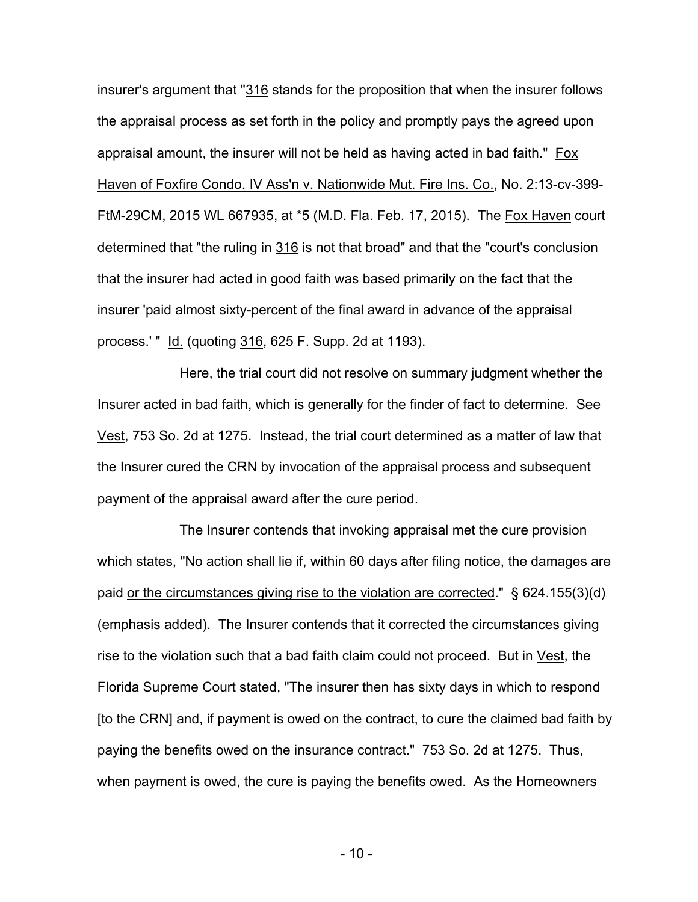insurer's argument that "316 stands for the proposition that when the insurer follows the appraisal process as set forth in the policy and promptly pays the agreed upon appraisal amount, the insurer will not be held as having acted in bad faith." Fox Haven of Foxfire Condo. IV Ass'n v. Nationwide Mut. Fire Ins. Co., No. 2:13-cv-399- FtM-29CM, 2015 WL 667935, at \*5 (M.D. Fla. Feb. 17, 2015). The Fox Haven court determined that "the ruling in 316 is not that broad" and that the "court's conclusion that the insurer had acted in good faith was based primarily on the fact that the insurer 'paid almost sixty-percent of the final award in advance of the appraisal process.' " Id. (quoting 316, 625 F. Supp. 2d at 1193).

Here, the trial court did not resolve on summary judgment whether the Insurer acted in bad faith, which is generally for the finder of fact to determine. See Vest, 753 So. 2d at 1275. Instead, the trial court determined as a matter of law that the Insurer cured the CRN by invocation of the appraisal process and subsequent payment of the appraisal award after the cure period.

The Insurer contends that invoking appraisal met the cure provision which states, "No action shall lie if, within 60 days after filing notice, the damages are paid or the circumstances giving rise to the violation are corrected." § 624.155(3)(d) (emphasis added). The Insurer contends that it corrected the circumstances giving rise to the violation such that a bad faith claim could not proceed. But in Vest, the Florida Supreme Court stated, "The insurer then has sixty days in which to respond [to the CRN] and, if payment is owed on the contract, to cure the claimed bad faith by paying the benefits owed on the insurance contract." 753 So. 2d at 1275. Thus, when payment is owed, the cure is paying the benefits owed. As the Homeowners

- 10 -